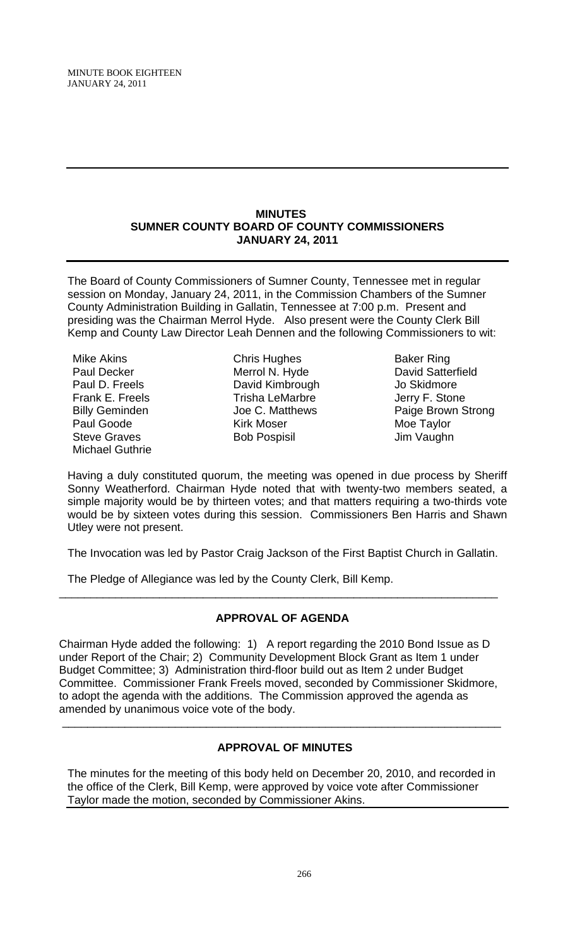#### **MINUTES SUMNER COUNTY BOARD OF COUNTY COMMISSIONERS JANUARY 24, 2011**

The Board of County Commissioners of Sumner County, Tennessee met in regular session on Monday, January 24, 2011, in the Commission Chambers of the Sumner County Administration Building in Gallatin, Tennessee at 7:00 p.m. Present and presiding was the Chairman Merrol Hyde. Also present were the County Clerk Bill Kemp and County Law Director Leah Dennen and the following Commissioners to wit:

Mike Akins Paul Decker Paul D. Freels Frank E. Freels Billy Geminden Paul Goode Steve Graves Michael Guthrie

Chris Hughes Merrol N. Hyde David Kimbrough Trisha LeMarbre Joe C. Matthews Kirk Moser Bob Pospisil

Baker Ring David Satterfield Jo Skidmore Jerry F. Stone Paige Brown Strong Moe Taylor Jim Vaughn

Having a duly constituted quorum, the meeting was opened in due process by Sheriff Sonny Weatherford. Chairman Hyde noted that with twenty-two members seated, a simple majority would be by thirteen votes; and that matters requiring a two-thirds vote would be by sixteen votes during this session. Commissioners Ben Harris and Shawn Utley were not present.

The Invocation was led by Pastor Craig Jackson of the First Baptist Church in Gallatin.

The Pledge of Allegiance was led by the County Clerk, Bill Kemp.

# **APPROVAL OF AGENDA**

\_\_\_\_\_\_\_\_\_\_\_\_\_\_\_\_\_\_\_\_\_\_\_\_\_\_\_\_\_\_\_\_\_\_\_\_\_\_\_\_\_\_\_\_\_\_\_\_\_\_\_\_\_\_\_\_\_\_\_\_\_\_\_\_\_\_\_\_\_\_

Chairman Hyde added the following: 1) A report regarding the 2010 Bond Issue as D under Report of the Chair; 2) Community Development Block Grant as Item 1 under Budget Committee; 3) Administration third-floor build out as Item 2 under Budget Committee. Commissioner Frank Freels moved, seconded by Commissioner Skidmore, to adopt the agenda with the additions. The Commission approved the agenda as amended by unanimous voice vote of the body.

# **APPROVAL OF MINUTES**

\_\_\_\_\_\_\_\_\_\_\_\_\_\_\_\_\_\_\_\_\_\_\_\_\_\_\_\_\_\_\_\_\_\_\_\_\_\_\_\_\_\_\_\_\_\_\_\_\_\_\_\_\_\_\_\_\_\_\_\_\_\_\_\_\_\_\_\_\_\_

The minutes for the meeting of this body held on December 20, 2010, and recorded in the office of the Clerk, Bill Kemp, were approved by voice vote after Commissioner Taylor made the motion, seconded by Commissioner Akins.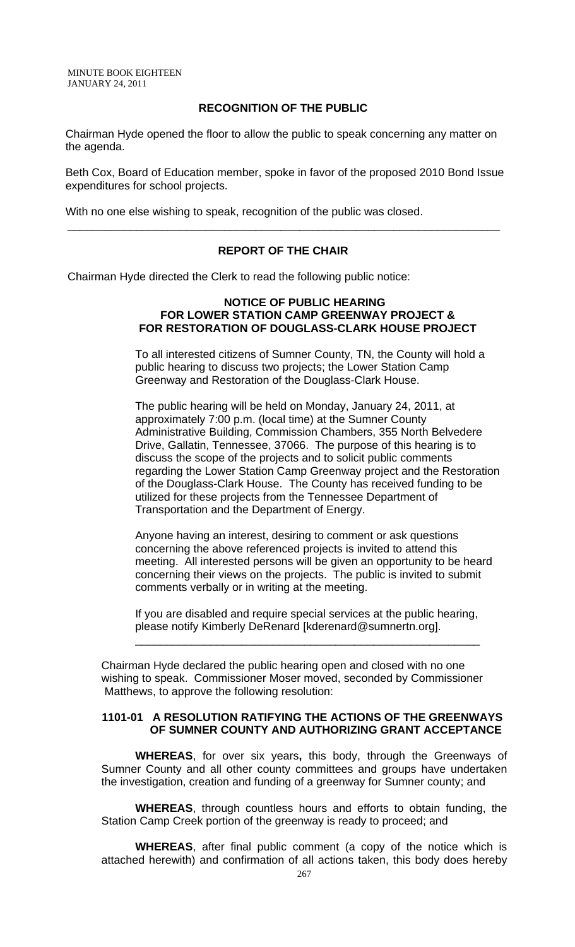#### **RECOGNITION OF THE PUBLIC**

 Chairman Hyde opened the floor to allow the public to speak concerning any matter on the agenda.

 Beth Cox, Board of Education member, spoke in favor of the proposed 2010 Bond Issue expenditures for school projects.

With no one else wishing to speak, recognition of the public was closed.

### **REPORT OF THE CHAIR**

\_\_\_\_\_\_\_\_\_\_\_\_\_\_\_\_\_\_\_\_\_\_\_\_\_\_\_\_\_\_\_\_\_\_\_\_\_\_\_\_\_\_\_\_\_\_\_\_\_\_\_\_\_\_\_\_\_\_\_\_\_\_\_\_\_\_\_\_\_

Chairman Hyde directed the Clerk to read the following public notice:

#### **NOTICE OF PUBLIC HEARING FOR LOWER STATION CAMP GREENWAY PROJECT & FOR RESTORATION OF DOUGLASS-CLARK HOUSE PROJECT**

 To all interested citizens of Sumner County, TN, the County will hold a public hearing to discuss two projects; the Lower Station Camp Greenway and Restoration of the Douglass-Clark House.

 The public hearing will be held on Monday, January 24, 2011, at approximately 7:00 p.m. (local time) at the Sumner County Administrative Building, Commission Chambers, 355 North Belvedere Drive, Gallatin, Tennessee, 37066. The purpose of this hearing is to discuss the scope of the projects and to solicit public comments regarding the Lower Station Camp Greenway project and the Restoration of the Douglass-Clark House. The County has received funding to be utilized for these projects from the Tennessee Department of Transportation and the Department of Energy.

 Anyone having an interest, desiring to comment or ask questions concerning the above referenced projects is invited to attend this meeting. All interested persons will be given an opportunity to be heard concerning their views on the projects. The public is invited to submit comments verbally or in writing at the meeting.

 If you are disabled and require special services at the public hearing, please notify Kimberly DeRenard [kderenard@sumnertn.org].

Chairman Hyde declared the public hearing open and closed with no one wishing to speak. Commissioner Moser moved, seconded by Commissioner Matthews, to approve the following resolution:

\_\_\_\_\_\_\_\_\_\_\_\_\_\_\_\_\_\_\_\_\_\_\_\_\_\_\_\_\_\_\_\_\_\_\_\_\_\_\_\_\_\_\_\_\_\_\_\_\_\_\_\_\_\_\_

#### **1101-01 A RESOLUTION RATIFYING THE ACTIONS OF THE GREENWAYS OF SUMNER COUNTY AND AUTHORIZING GRANT ACCEPTANCE**

**WHEREAS**, for over six years**,** this body, through the Greenways of Sumner County and all other county committees and groups have undertaken the investigation, creation and funding of a greenway for Sumner county; and

**WHEREAS**, through countless hours and efforts to obtain funding, the Station Camp Creek portion of the greenway is ready to proceed; and

**WHEREAS**, after final public comment (a copy of the notice which is attached herewith) and confirmation of all actions taken, this body does hereby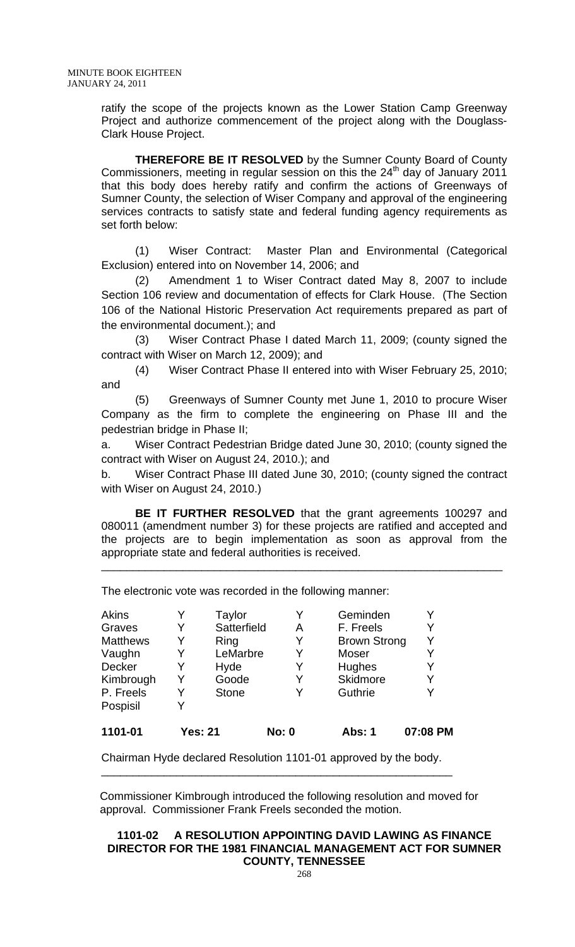ratify the scope of the projects known as the Lower Station Camp Greenway Project and authorize commencement of the project along with the Douglass-Clark House Project.

 **THEREFORE BE IT RESOLVED** by the Sumner County Board of County Commissioners, meeting in regular session on this the  $24<sup>th</sup>$  day of January 2011 that this body does hereby ratify and confirm the actions of Greenways of Sumner County, the selection of Wiser Company and approval of the engineering services contracts to satisfy state and federal funding agency requirements as set forth below:

(1) Wiser Contract: Master Plan and Environmental (Categorical Exclusion) entered into on November 14, 2006; and

(2) Amendment 1 to Wiser Contract dated May 8, 2007 to include Section 106 review and documentation of effects for Clark House. (The Section 106 of the National Historic Preservation Act requirements prepared as part of the environmental document.); and

(3) Wiser Contract Phase I dated March 11, 2009; (county signed the contract with Wiser on March 12, 2009); and

(4) Wiser Contract Phase II entered into with Wiser February 25, 2010; and

(5) Greenways of Sumner County met June 1, 2010 to procure Wiser Company as the firm to complete the engineering on Phase III and the pedestrian bridge in Phase II;

a. Wiser Contract Pedestrian Bridge dated June 30, 2010; (county signed the contract with Wiser on August 24, 2010.); and

b. Wiser Contract Phase III dated June 30, 2010; (county signed the contract with Wiser on August 24, 2010.)

**BE IT FURTHER RESOLVED** that the grant agreements 100297 and 080011 (amendment number 3) for these projects are ratified and accepted and the projects are to begin implementation as soon as approval from the appropriate state and federal authorities is received.

\_\_\_\_\_\_\_\_\_\_\_\_\_\_\_\_\_\_\_\_\_\_\_\_\_\_\_\_\_\_\_\_\_\_\_\_\_\_\_\_\_\_\_\_\_\_\_\_\_\_\_\_\_\_\_\_\_\_\_\_\_\_\_\_

Akins Y Taylor Y Geminden Y Graves Y Satterfield A F. Freels Y Matthews Y Ring Y Brown Strong Y Vaughn Y LeMarbre Y Moser Y Decker Y Hyde Y Hughes Y Kimbrough Y Goode Y Skidmore Y P. Freels Y Stone Y Guthrie Y Pospisil Y **1101-01 Yes: 21 No: 0 Abs: 1 07:08 PM** 

The electronic vote was recorded in the following manner:

Chairman Hyde declared Resolution 1101-01 approved by the body. \_\_\_\_\_\_\_\_\_\_\_\_\_\_\_\_\_\_\_\_\_\_\_\_\_\_\_\_\_\_\_\_\_\_\_\_\_\_\_\_\_\_\_\_\_\_\_\_\_\_\_\_\_\_\_\_

 Commissioner Kimbrough introduced the following resolution and moved for approval. Commissioner Frank Freels seconded the motion.

### **1101-02 A RESOLUTION APPOINTING DAVID LAWING AS FINANCE DIRECTOR FOR THE 1981 FINANCIAL MANAGEMENT ACT FOR SUMNER COUNTY, TENNESSEE**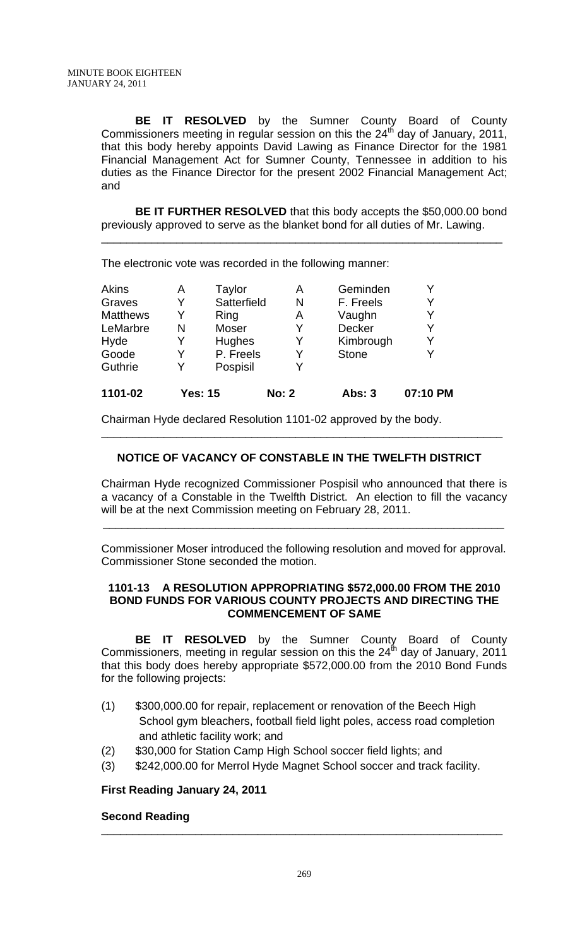**BE IT RESOLVED** by the Sumner County Board of County Commissioners meeting in regular session on this the 24<sup>th</sup> day of January, 2011, that this body hereby appoints David Lawing as Finance Director for the 1981 Financial Management Act for Sumner County, Tennessee in addition to his duties as the Finance Director for the present 2002 Financial Management Act; and

**BE IT FURTHER RESOLVED** that this body accepts the \$50,000.00 bond previously approved to serve as the blanket bond for all duties of Mr. Lawing.

\_\_\_\_\_\_\_\_\_\_\_\_\_\_\_\_\_\_\_\_\_\_\_\_\_\_\_\_\_\_\_\_\_\_\_\_\_\_\_\_\_\_\_\_\_\_\_\_\_\_\_\_\_\_\_\_\_\_\_\_\_\_\_\_

The electronic vote was recorded in the following manner:

| 1101-02         |   | <b>Yes: 15</b> | <b>No: 2</b> | <b>Abs: 3</b> | 07:10 PM |
|-----------------|---|----------------|--------------|---------------|----------|
| Guthrie         | Y | Pospisil       | Y            |               |          |
| Goode           | Y | P. Freels      | Y            | <b>Stone</b>  | Y        |
| Hyde            | Y | Hughes         | Y            | Kimbrough     | Y        |
| LeMarbre        | N | Moser          | Y            | <b>Decker</b> | Y        |
| <b>Matthews</b> | Y | Ring           | Α            | Vaughn        | Y        |
| Graves          | Y | Satterfield    | N            | F. Freels     | Y        |
| <b>Akins</b>    | А | Taylor         | А            | Geminden      |          |

Chairman Hyde declared Resolution 1101-02 approved by the body.

# **NOTICE OF VACANCY OF CONSTABLE IN THE TWELFTH DISTRICT**

\_\_\_\_\_\_\_\_\_\_\_\_\_\_\_\_\_\_\_\_\_\_\_\_\_\_\_\_\_\_\_\_\_\_\_\_\_\_\_\_\_\_\_\_\_\_\_\_\_\_\_\_\_\_\_\_\_\_\_\_\_\_\_\_

Chairman Hyde recognized Commissioner Pospisil who announced that there is a vacancy of a Constable in the Twelfth District. An election to fill the vacancy will be at the next Commission meeting on February 28, 2011.

\_\_\_\_\_\_\_\_\_\_\_\_\_\_\_\_\_\_\_\_\_\_\_\_\_\_\_\_\_\_\_\_\_\_\_\_\_\_\_\_\_\_\_\_\_\_\_\_\_\_\_\_\_\_\_\_\_\_\_\_\_\_\_\_

Commissioner Moser introduced the following resolution and moved for approval. Commissioner Stone seconded the motion.

### **1101-13 A RESOLUTION APPROPRIATING \$572,000.00 FROM THE 2010 BOND FUNDS FOR VARIOUS COUNTY PROJECTS AND DIRECTING THE COMMENCEMENT OF SAME**

**BE IT RESOLVED** by the Sumner County Board of County Commissioners, meeting in regular session on this the  $24<sup>th</sup>$  day of January, 2011 that this body does hereby appropriate \$572,000.00 from the 2010 Bond Funds for the following projects:

- (1) \$300,000.00 for repair, replacement or renovation of the Beech High School gym bleachers, football field light poles, access road completion and athletic facility work; and
- (2) \$30,000 for Station Camp High School soccer field lights; and
- (3) \$242,000.00 for Merrol Hyde Magnet School soccer and track facility.

#### **First Reading January 24, 2011**

#### **Second Reading**

\_\_\_\_\_\_\_\_\_\_\_\_\_\_\_\_\_\_\_\_\_\_\_\_\_\_\_\_\_\_\_\_\_\_\_\_\_\_\_\_\_\_\_\_\_\_\_\_\_\_\_\_\_\_\_\_\_\_\_\_\_\_\_\_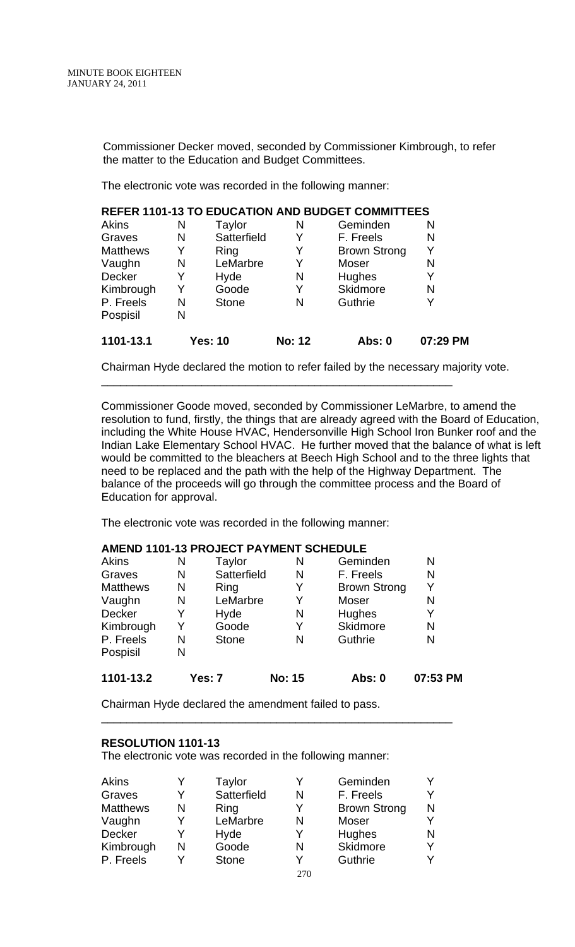Commissioner Decker moved, seconded by Commissioner Kimbrough, to refer the matter to the Education and Budget Committees.

The electronic vote was recorded in the following manner:

|                 |   |                |               | <b>REFER 1101-13 TO EDUCATION AND BUDGET COMMITTEES</b> |          |
|-----------------|---|----------------|---------------|---------------------------------------------------------|----------|
| Akins           | Ν | Taylor         | N             | Geminden                                                | N        |
| Graves          | N | Satterfield    | Y             | F. Freels                                               | N        |
| <b>Matthews</b> | Y | <b>Ring</b>    | Y             | <b>Brown Strong</b>                                     | Y        |
| Vaughn          | N | LeMarbre       | Y             | Moser                                                   | N        |
| Decker          | Y | Hyde           | N             | Hughes                                                  | Y        |
| Kimbrough       | Y | Goode          | Y             | Skidmore                                                | N        |
| P. Freels       | N | <b>Stone</b>   | N             | Guthrie                                                 | Y        |
| Pospisil        | N |                |               |                                                         |          |
| 1101-13.1       |   | <b>Yes: 10</b> | <b>No: 12</b> | <b>Abs: 0</b>                                           | 07:29 PM |

\_\_\_\_\_\_\_\_\_\_\_\_\_\_\_\_\_\_\_\_\_\_\_\_\_\_\_\_\_\_\_\_\_\_\_\_\_\_\_\_\_\_\_\_\_\_\_\_\_\_\_\_\_\_\_\_

Chairman Hyde declared the motion to refer failed by the necessary majority vote.

Commissioner Goode moved, seconded by Commissioner LeMarbre, to amend the resolution to fund, firstly, the things that are already agreed with the Board of Education, including the White House HVAC, Hendersonville High School Iron Bunker roof and the Indian Lake Elementary School HVAC. He further moved that the balance of what is left would be committed to the bleachers at Beech High School and to the three lights that need to be replaced and the path with the help of the Highway Department. The balance of the proceeds will go through the committee process and the Board of Education for approval.

The electronic vote was recorded in the following manner:

### **AMEND 1101-13 PROJECT PAYMENT SCHEDULE**

| 1101-13.2       |   | Yes: 7       | <b>No: 15</b> | <b>Abs: 0</b>       | 07:53 PM |
|-----------------|---|--------------|---------------|---------------------|----------|
| Pospisil        | N |              |               |                     |          |
| P. Freels       | N | <b>Stone</b> | N             | Guthrie             | N        |
| Kimbrough       | Y | Goode        | Y             | <b>Skidmore</b>     | N        |
| <b>Decker</b>   | Y | Hyde         | N             | Hughes              | Y        |
| Vaughn          | N | LeMarbre     | Y             | Moser               | N        |
| <b>Matthews</b> | N | Ring         | Y             | <b>Brown Strong</b> | Y        |
| Graves          | N | Satterfield  | N             | F. Freels           | N        |
| <b>Akins</b>    | N | Taylor       | N             | Geminden            | N        |

\_\_\_\_\_\_\_\_\_\_\_\_\_\_\_\_\_\_\_\_\_\_\_\_\_\_\_\_\_\_\_\_\_\_\_\_\_\_\_\_\_\_\_\_\_\_\_\_\_\_\_\_\_\_\_\_

Chairman Hyde declared the amendment failed to pass.

#### **RESOLUTION 1101-13**

The electronic vote was recorded in the following manner:

| Akins           |   | Taylor       | v       | Geminden            |   |
|-----------------|---|--------------|---------|---------------------|---|
| Graves          | v | Satterfield  | N       | F. Freels           |   |
| <b>Matthews</b> | N | Ring         | v       | <b>Brown Strong</b> | N |
| Vaughn          | v | LeMarbre     | N       | Moser               |   |
| Decker          | v | Hyde         | v       | Hughes              |   |
| Kimbrough       | N | Goode        | N       | Skidmore            |   |
| P. Freels       | v | <b>Stone</b> | V       | Guthrie             |   |
|                 |   |              | $- - -$ |                     |   |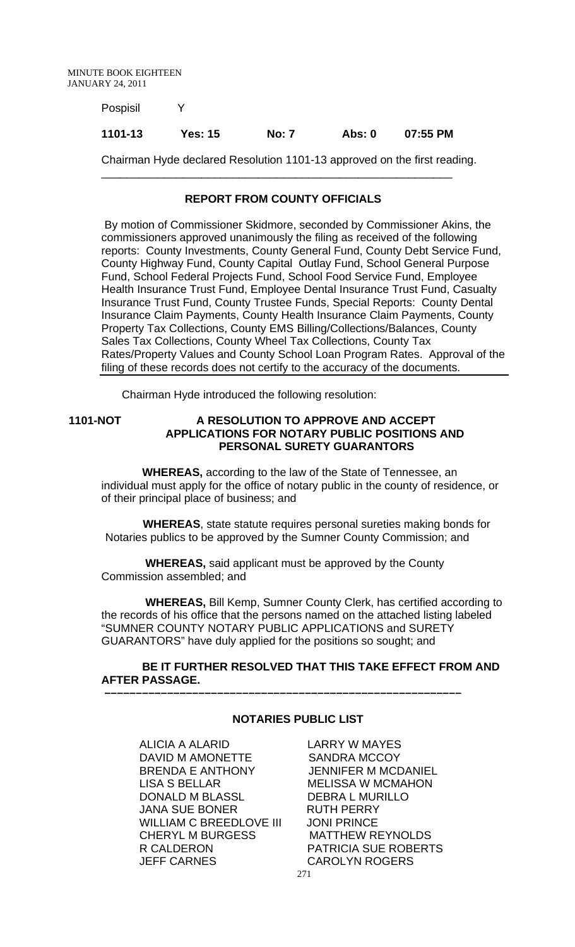Pospisil Y

### **1101-13 Yes: 15 No: 7 Abs: 0 07:55 PM**

\_\_\_\_\_\_\_\_\_\_\_\_\_\_\_\_\_\_\_\_\_\_\_\_\_\_\_\_\_\_\_\_\_\_\_\_\_\_\_\_\_\_\_\_\_\_\_\_\_\_\_\_\_\_\_\_

Chairman Hyde declared Resolution 1101-13 approved on the first reading.

#### **REPORT FROM COUNTY OFFICIALS**

 By motion of Commissioner Skidmore, seconded by Commissioner Akins, the commissioners approved unanimously the filing as received of the following reports: County Investments, County General Fund, County Debt Service Fund, County Highway Fund, County Capital Outlay Fund, School General Purpose Fund, School Federal Projects Fund, School Food Service Fund, Employee Health Insurance Trust Fund, Employee Dental Insurance Trust Fund, Casualty Insurance Trust Fund, County Trustee Funds, Special Reports: County Dental Insurance Claim Payments, County Health Insurance Claim Payments, County Property Tax Collections, County EMS Billing/Collections/Balances, County Sales Tax Collections, County Wheel Tax Collections, County Tax Rates/Property Values and County School Loan Program Rates. Approval of the filing of these records does not certify to the accuracy of the documents.

Chairman Hyde introduced the following resolution:

### **1101-NOT A RESOLUTION TO APPROVE AND ACCEPT APPLICATIONS FOR NOTARY PUBLIC POSITIONS AND PERSONAL SURETY GUARANTORS**

 **WHEREAS,** according to the law of the State of Tennessee, an individual must apply for the office of notary public in the county of residence, or of their principal place of business; and

 **WHEREAS**, state statute requires personal sureties making bonds for Notaries publics to be approved by the Sumner County Commission; and

 **WHEREAS,** said applicant must be approved by the County Commission assembled; and

 **–––––––––––––––––––––––––––––––––––––––––––––––––––––––––**

 **WHEREAS,** Bill Kemp, Sumner County Clerk, has certified according to the records of his office that the persons named on the attached listing labeled "SUMNER COUNTY NOTARY PUBLIC APPLICATIONS and SURETY GUARANTORS" have duly applied for the positions so sought; and

## **BE IT FURTHER RESOLVED THAT THIS TAKE EFFECT FROM AND AFTER PASSAGE.**

#### **NOTARIES PUBLIC LIST**

ALICIA A ALARID LARRY W MAYES DAVID M AMONETTE SANDRA MCCOY BRENDA E ANTHONY JENNIFER M MCDANIEL LISA S BELLAR MELISSA W MCMAHON DONALD M BLASSL DEBRA L MURILLO JANA SUE BONER RUTH PERRY WILLIAM C BREEDLOVE III JONI PRINCE CHERYL M BURGESS MATTHEW REYNOLDS R CALDERON PATRICIA SUE ROBERTS JEFF CARNES CAROLYN ROGERS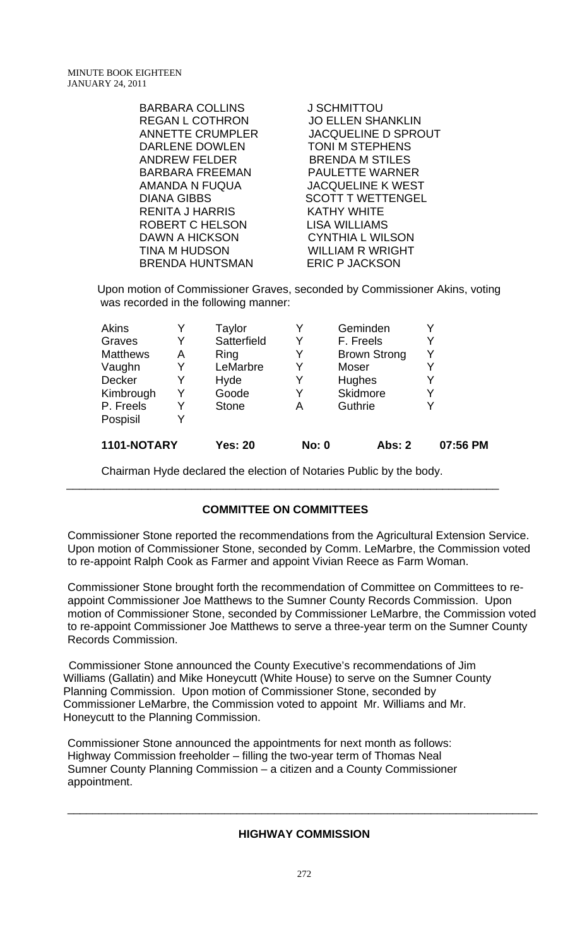| <b>BARBARA COLLINS</b>  | <b>J SCHMITTOU</b>         |
|-------------------------|----------------------------|
| <b>REGAN L COTHRON</b>  | <b>JO ELLEN SHANKLIN</b>   |
| <b>ANNETTE CRUMPLER</b> | <b>JACQUELINE D SPROUT</b> |
| <b>DARLENE DOWLEN</b>   | <b>TONI M STEPHENS</b>     |
| <b>ANDREW FELDER</b>    | <b>BRENDA M STILES</b>     |
| <b>BARBARA FREEMAN</b>  | PAULETTE WARNER            |
| AMANDA N FUQUA          | <b>JACQUELINE K WEST</b>   |
| <b>DIANA GIBBS</b>      | <b>SCOTT T WETTENGEL</b>   |
| <b>RENITA J HARRIS</b>  | <b>KATHY WHITE</b>         |
| ROBERT C HELSON         | <b>LISA WILLIAMS</b>       |
| <b>DAWN A HICKSON</b>   | <b>CYNTHIA L WILSON</b>    |
| <b>TINA M HUDSON</b>    | <b>WILLIAM R WRIGHT</b>    |
| <b>BRENDA HUNTSMAN</b>  | <b>ERIC P JACKSON</b>      |

Upon motion of Commissioner Graves, seconded by Commissioner Akins, voting was recorded in the following manner:

| 1101-NOTARY     |   | <b>Yes: 20</b> | <b>No: 0</b> | <b>Abs: 2</b>       | 07:56 PM |
|-----------------|---|----------------|--------------|---------------------|----------|
| Pospisil        |   |                |              |                     |          |
| P. Freels       | Y | <b>Stone</b>   | Α            | Guthrie             |          |
| Kimbrough       | Y | Goode          | Y            | Skidmore            |          |
| Decker          | Y | Hyde           | Y            | <b>Hughes</b>       |          |
| Vaughn          | Y | LeMarbre       | Y            | Moser               |          |
| <b>Matthews</b> | Α | Ring           | Y            | <b>Brown Strong</b> | Y        |
| Graves          | Y | Satterfield    | Y            | F. Freels           |          |
| <b>Akins</b>    |   | Taylor         | Y            | Geminden            |          |

Chairman Hyde declared the election of Notaries Public by the body.

# **COMMITTEE ON COMMITTEES**

\_\_\_\_\_\_\_\_\_\_\_\_\_\_\_\_\_\_\_\_\_\_\_\_\_\_\_\_\_\_\_\_\_\_\_\_\_\_\_\_\_\_\_\_\_\_\_\_\_\_\_\_\_\_\_\_\_\_\_\_\_\_\_\_\_\_\_\_\_

Commissioner Stone reported the recommendations from the Agricultural Extension Service. Upon motion of Commissioner Stone, seconded by Comm. LeMarbre, the Commission voted to re-appoint Ralph Cook as Farmer and appoint Vivian Reece as Farm Woman.

Commissioner Stone brought forth the recommendation of Committee on Committees to reappoint Commissioner Joe Matthews to the Sumner County Records Commission. Upon motion of Commissioner Stone, seconded by Commissioner LeMarbre, the Commission voted to re-appoint Commissioner Joe Matthews to serve a three-year term on the Sumner County Records Commission.

 Commissioner Stone announced the County Executive's recommendations of Jim Williams (Gallatin) and Mike Honeycutt (White House) to serve on the Sumner County Planning Commission. Upon motion of Commissioner Stone, seconded by Commissioner LeMarbre, the Commission voted to appoint Mr. Williams and Mr. Honeycutt to the Planning Commission.

Commissioner Stone announced the appointments for next month as follows: Highway Commission freeholder – filling the two-year term of Thomas Neal Sumner County Planning Commission – a citizen and a County Commissioner appointment.

### **HIGHWAY COMMISSION**

\_\_\_\_\_\_\_\_\_\_\_\_\_\_\_\_\_\_\_\_\_\_\_\_\_\_\_\_\_\_\_\_\_\_\_\_\_\_\_\_\_\_\_\_\_\_\_\_\_\_\_\_\_\_\_\_\_\_\_\_\_\_\_\_\_\_\_\_\_\_\_\_\_\_\_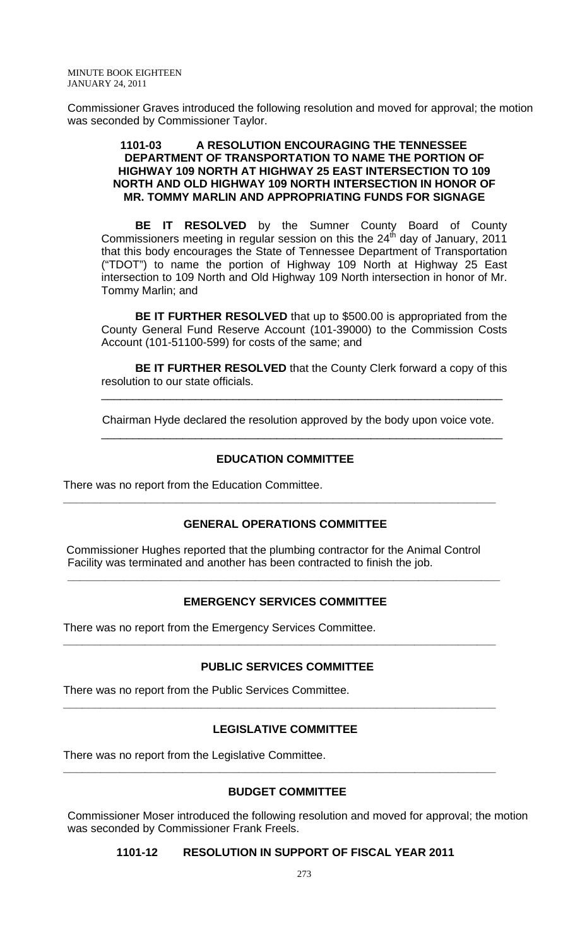Commissioner Graves introduced the following resolution and moved for approval; the motion was seconded by Commissioner Taylor.

#### **1101-03 A RESOLUTION ENCOURAGING THE TENNESSEE DEPARTMENT OF TRANSPORTATION TO NAME THE PORTION OF HIGHWAY 109 NORTH AT HIGHWAY 25 EAST INTERSECTION TO 109 NORTH AND OLD HIGHWAY 109 NORTH INTERSECTION IN HONOR OF MR. TOMMY MARLIN AND APPROPRIATING FUNDS FOR SIGNAGE**

 **BE IT RESOLVED** by the Sumner County Board of County Commissioners meeting in regular session on this the  $24<sup>th</sup>$  day of January, 2011 that this body encourages the State of Tennessee Department of Transportation ("TDOT") to name the portion of Highway 109 North at Highway 25 East intersection to 109 North and Old Highway 109 North intersection in honor of Mr. Tommy Marlin; and

**BE IT FURTHER RESOLVED** that up to \$500.00 is appropriated from the County General Fund Reserve Account (101-39000) to the Commission Costs Account (101-51100-599) for costs of the same; and

**BE IT FURTHER RESOLVED** that the County Clerk forward a copy of this resolution to our state officials.

\_\_\_\_\_\_\_\_\_\_\_\_\_\_\_\_\_\_\_\_\_\_\_\_\_\_\_\_\_\_\_\_\_\_\_\_\_\_\_\_\_\_\_\_\_\_\_\_\_\_\_\_\_\_\_\_\_\_\_\_\_\_\_\_

Chairman Hyde declared the resolution approved by the body upon voice vote.

#### **EDUCATION COMMITTEE**

\_\_\_\_\_\_\_\_\_\_\_\_\_\_\_\_\_\_\_\_\_\_\_\_\_\_\_\_\_\_\_\_\_\_\_\_\_\_\_\_\_\_\_\_\_\_\_\_\_\_\_\_\_\_\_\_\_\_\_\_\_\_\_\_

There was no report from the Education Committee.

#### **GENERAL OPERATIONS COMMITTEE**

**\_\_\_\_\_\_\_\_\_\_\_\_\_\_\_\_\_\_\_\_\_\_\_\_\_\_\_\_\_\_\_\_\_\_\_\_\_\_\_\_\_\_\_\_\_\_\_\_\_\_\_\_\_\_\_\_\_\_\_\_\_\_\_\_\_\_\_\_\_** 

 Commissioner Hughes reported that the plumbing contractor for the Animal Control Facility was terminated and another has been contracted to finish the job.

# **EMERGENCY SERVICES COMMITTEE**

**\_\_\_\_\_\_\_\_\_\_\_\_\_\_\_\_\_\_\_\_\_\_\_\_\_\_\_\_\_\_\_\_\_\_\_\_\_\_\_\_\_\_\_\_\_\_\_\_\_\_\_\_\_\_\_\_\_\_\_\_\_\_\_\_\_\_\_\_\_** 

There was no report from the Emergency Services Committee.

#### **PUBLIC SERVICES COMMITTEE**

**\_\_\_\_\_\_\_\_\_\_\_\_\_\_\_\_\_\_\_\_\_\_\_\_\_\_\_\_\_\_\_\_\_\_\_\_\_\_\_\_\_\_\_\_\_\_\_\_\_\_\_\_\_\_\_\_\_\_\_\_\_\_\_\_\_\_\_\_\_** 

There was no report from the Public Services Committee.

# **LEGISLATIVE COMMITTEE**

**\_\_\_\_\_\_\_\_\_\_\_\_\_\_\_\_\_\_\_\_\_\_\_\_\_\_\_\_\_\_\_\_\_\_\_\_\_\_\_\_\_\_\_\_\_\_\_\_\_\_\_\_\_\_\_\_\_\_\_\_\_\_\_\_\_\_\_\_\_** 

There was no report from the Legislative Committee.

#### **BUDGET COMMITTEE**

**\_\_\_\_\_\_\_\_\_\_\_\_\_\_\_\_\_\_\_\_\_\_\_\_\_\_\_\_\_\_\_\_\_\_\_\_\_\_\_\_\_\_\_\_\_\_\_\_\_\_\_\_\_\_\_\_\_\_\_\_\_\_\_\_\_\_\_\_\_** 

Commissioner Moser introduced the following resolution and moved for approval; the motion was seconded by Commissioner Frank Freels.

#### **1101-12 RESOLUTION IN SUPPORT OF FISCAL YEAR 2011**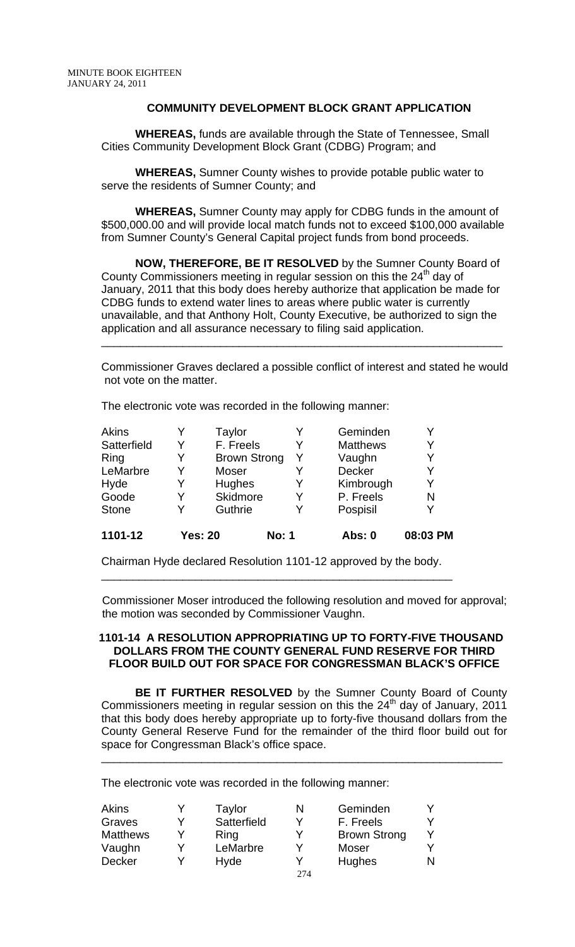### **COMMUNITY DEVELOPMENT BLOCK GRANT APPLICATION**

**WHEREAS,** funds are available through the State of Tennessee, Small Cities Community Development Block Grant (CDBG) Program; and

**WHEREAS,** Sumner County wishes to provide potable public water to serve the residents of Sumner County; and

**WHEREAS,** Sumner County may apply for CDBG funds in the amount of \$500,000.00 and will provide local match funds not to exceed \$100,000 available from Sumner County's General Capital project funds from bond proceeds.

**NOW, THEREFORE, BE IT RESOLVED** by the Sumner County Board of County Commissioners meeting in regular session on this the  $24<sup>th</sup>$  day of January, 2011 that this body does hereby authorize that application be made for CDBG funds to extend water lines to areas where public water is currently unavailable, and that Anthony Holt, County Executive, be authorized to sign the application and all assurance necessary to filing said application.

Commissioner Graves declared a possible conflict of interest and stated he would not vote on the matter.

\_\_\_\_\_\_\_\_\_\_\_\_\_\_\_\_\_\_\_\_\_\_\_\_\_\_\_\_\_\_\_\_\_\_\_\_\_\_\_\_\_\_\_\_\_\_\_\_\_\_\_\_\_\_\_\_\_\_\_\_\_\_\_\_

The electronic vote was recorded in the following manner:

| Akins        |                | Taylor              |              | Geminden        | Y        |
|--------------|----------------|---------------------|--------------|-----------------|----------|
| Satterfield  | Y              | F. Freels           | Y            | <b>Matthews</b> | Y        |
| Ring         | Y              | <b>Brown Strong</b> | Y            | Vaughn          | Y        |
| LeMarbre     | v              | Moser               |              | Decker          | Y        |
| Hyde         | Y              | Hughes              | Y            | Kimbrough       | Y        |
| Goode        | Y              | Skidmore            | Y            | P. Freels       | N        |
| <b>Stone</b> | Y              | Guthrie             | Y            | Pospisil        | Y        |
| 1101-12      | <b>Yes: 20</b> |                     | <b>No: 1</b> | Abs: 0          | 08:03 PM |

Chairman Hyde declared Resolution 1101-12 approved by the body.

\_\_\_\_\_\_\_\_\_\_\_\_\_\_\_\_\_\_\_\_\_\_\_\_\_\_\_\_\_\_\_\_\_\_\_\_\_\_\_\_\_\_\_\_\_\_\_\_\_\_\_\_\_\_\_\_

 Commissioner Moser introduced the following resolution and moved for approval; the motion was seconded by Commissioner Vaughn.

#### **1101-14 A RESOLUTION APPROPRIATING UP TO FORTY-FIVE THOUSAND DOLLARS FROM THE COUNTY GENERAL FUND RESERVE FOR THIRD FLOOR BUILD OUT FOR SPACE FOR CONGRESSMAN BLACK'S OFFICE**

 **BE IT FURTHER RESOLVED** by the Sumner County Board of County Commissioners meeting in regular session on this the  $24<sup>th</sup>$  day of January, 2011 that this body does hereby appropriate up to forty-five thousand dollars from the County General Reserve Fund for the remainder of the third floor build out for space for Congressman Black's office space.

\_\_\_\_\_\_\_\_\_\_\_\_\_\_\_\_\_\_\_\_\_\_\_\_\_\_\_\_\_\_\_\_\_\_\_\_\_\_\_\_\_\_\_\_\_\_\_\_\_\_\_\_\_\_\_\_\_\_\_\_\_\_\_\_

The electronic vote was recorded in the following manner:

| Akins           | Taylor      | N   | Geminden            |  |
|-----------------|-------------|-----|---------------------|--|
| Graves          | Satterfield | ✓   | F. Freels           |  |
| <b>Matthews</b> | Ring        | V   | <b>Brown Strong</b> |  |
| Vaughn          | LeMarbre    | V   | Moser               |  |
| <b>Decker</b>   | Hyde        | v   | Hughes              |  |
|                 |             | 274 |                     |  |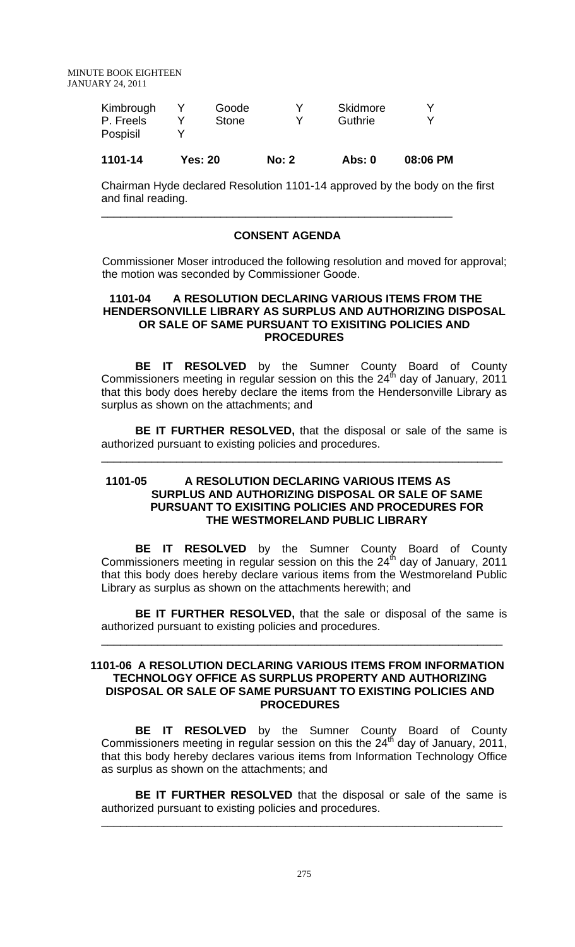| Kimbrough<br>P. Freels<br>Pospisil | Goode<br>Stone | v<br>∨ | Skidmore<br>Guthrie | v<br>v |
|------------------------------------|----------------|--------|---------------------|--------|
|                                    |                |        |                     |        |

# **1101-14 Yes: 20 No: 2 Abs: 0 08:06 PM**

\_\_\_\_\_\_\_\_\_\_\_\_\_\_\_\_\_\_\_\_\_\_\_\_\_\_\_\_\_\_\_\_\_\_\_\_\_\_\_\_\_\_\_\_\_\_\_\_\_\_\_\_\_\_\_\_

Chairman Hyde declared Resolution 1101-14 approved by the body on the first and final reading.

### **CONSENT AGENDA**

 Commissioner Moser introduced the following resolution and moved for approval; the motion was seconded by Commissioner Goode.

### **1101-04 A RESOLUTION DECLARING VARIOUS ITEMS FROM THE HENDERSONVILLE LIBRARY AS SURPLUS AND AUTHORIZING DISPOSAL OR SALE OF SAME PURSUANT TO EXISITING POLICIES AND PROCEDURES**

**BE IT RESOLVED** by the Sumner County Board of County Commissioners meeting in regular session on this the  $24<sup>th</sup>$  day of January, 2011 that this body does hereby declare the items from the Hendersonville Library as surplus as shown on the attachments; and

**BE IT FURTHER RESOLVED,** that the disposal or sale of the same is authorized pursuant to existing policies and procedures.

\_\_\_\_\_\_\_\_\_\_\_\_\_\_\_\_\_\_\_\_\_\_\_\_\_\_\_\_\_\_\_\_\_\_\_\_\_\_\_\_\_\_\_\_\_\_\_\_\_\_\_\_\_\_\_\_\_\_\_\_\_\_\_\_

#### **1101-05 A RESOLUTION DECLARING VARIOUS ITEMS AS SURPLUS AND AUTHORIZING DISPOSAL OR SALE OF SAME PURSUANT TO EXISITING POLICIES AND PROCEDURES FOR THE WESTMORELAND PUBLIC LIBRARY**

 **BE IT RESOLVED** by the Sumner County Board of County Commissioners meeting in regular session on this the  $24<sup>th</sup>$  day of January, 2011 that this body does hereby declare various items from the Westmoreland Public Library as surplus as shown on the attachments herewith; and

**BE IT FURTHER RESOLVED,** that the sale or disposal of the same is authorized pursuant to existing policies and procedures.

\_\_\_\_\_\_\_\_\_\_\_\_\_\_\_\_\_\_\_\_\_\_\_\_\_\_\_\_\_\_\_\_\_\_\_\_\_\_\_\_\_\_\_\_\_\_\_\_\_\_\_\_\_\_\_\_\_\_\_\_\_\_\_\_

#### **1101-06 A RESOLUTION DECLARING VARIOUS ITEMS FROM INFORMATION TECHNOLOGY OFFICE AS SURPLUS PROPERTY AND AUTHORIZING DISPOSAL OR SALE OF SAME PURSUANT TO EXISTING POLICIES AND PROCEDURES**

**BE IT RESOLVED** by the Sumner County Board of County Commissioners meeting in regular session on this the  $24<sup>th</sup>$  day of January, 2011, that this body hereby declares various items from Information Technology Office as surplus as shown on the attachments; and

**BE IT FURTHER RESOLVED** that the disposal or sale of the same is authorized pursuant to existing policies and procedures.

\_\_\_\_\_\_\_\_\_\_\_\_\_\_\_\_\_\_\_\_\_\_\_\_\_\_\_\_\_\_\_\_\_\_\_\_\_\_\_\_\_\_\_\_\_\_\_\_\_\_\_\_\_\_\_\_\_\_\_\_\_\_\_\_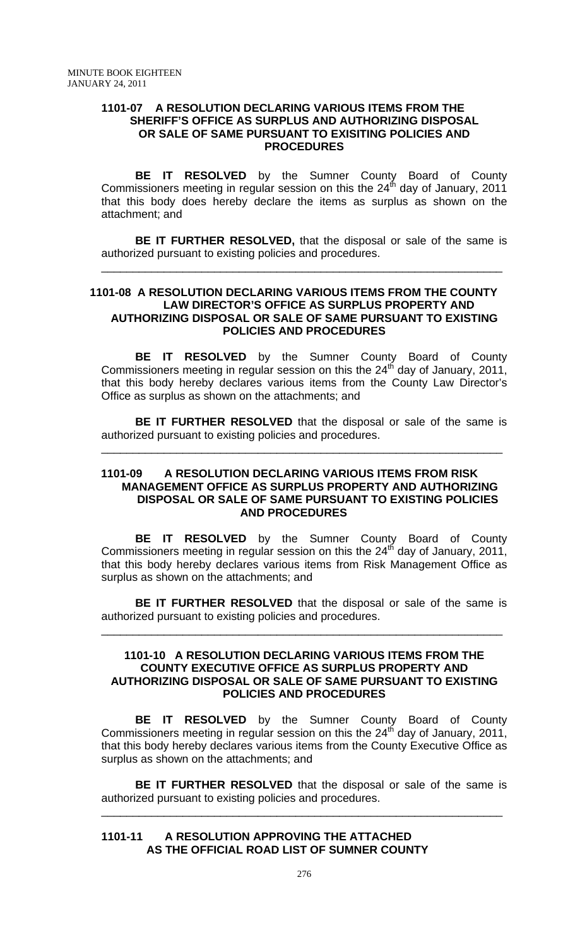#### **1101-07 A RESOLUTION DECLARING VARIOUS ITEMS FROM THE SHERIFF'S OFFICE AS SURPLUS AND AUTHORIZING DISPOSAL OR SALE OF SAME PURSUANT TO EXISITING POLICIES AND PROCEDURES**

 **BE IT RESOLVED** by the Sumner County Board of County Commissioners meeting in regular session on this the  $24<sup>th</sup>$  day of January, 2011 that this body does hereby declare the items as surplus as shown on the attachment; and

**BE IT FURTHER RESOLVED,** that the disposal or sale of the same is authorized pursuant to existing policies and procedures.

\_\_\_\_\_\_\_\_\_\_\_\_\_\_\_\_\_\_\_\_\_\_\_\_\_\_\_\_\_\_\_\_\_\_\_\_\_\_\_\_\_\_\_\_\_\_\_\_\_\_\_\_\_\_\_\_\_\_\_\_\_\_\_\_

#### **1101-08 A RESOLUTION DECLARING VARIOUS ITEMS FROM THE COUNTY LAW DIRECTOR'S OFFICE AS SURPLUS PROPERTY AND AUTHORIZING DISPOSAL OR SALE OF SAME PURSUANT TO EXISTING POLICIES AND PROCEDURES**

**BE IT RESOLVED** by the Sumner County Board of County Commissioners meeting in regular session on this the  $24<sup>th</sup>$  day of January, 2011, that this body hereby declares various items from the County Law Director's Office as surplus as shown on the attachments; and

**BE IT FURTHER RESOLVED** that the disposal or sale of the same is authorized pursuant to existing policies and procedures.

\_\_\_\_\_\_\_\_\_\_\_\_\_\_\_\_\_\_\_\_\_\_\_\_\_\_\_\_\_\_\_\_\_\_\_\_\_\_\_\_\_\_\_\_\_\_\_\_\_\_\_\_\_\_\_\_\_\_\_\_\_\_\_\_

#### **1101-09 A RESOLUTION DECLARING VARIOUS ITEMS FROM RISK MANAGEMENT OFFICE AS SURPLUS PROPERTY AND AUTHORIZING DISPOSAL OR SALE OF SAME PURSUANT TO EXISTING POLICIES AND PROCEDURES**

**BE IT RESOLVED** by the Sumner County Board of County Commissioners meeting in regular session on this the  $24<sup>th</sup>$  day of January, 2011, that this body hereby declares various items from Risk Management Office as surplus as shown on the attachments; and

**BE IT FURTHER RESOLVED** that the disposal or sale of the same is authorized pursuant to existing policies and procedures.

\_\_\_\_\_\_\_\_\_\_\_\_\_\_\_\_\_\_\_\_\_\_\_\_\_\_\_\_\_\_\_\_\_\_\_\_\_\_\_\_\_\_\_\_\_\_\_\_\_\_\_\_\_\_\_\_\_\_\_\_\_\_\_\_

#### **1101-10 A RESOLUTION DECLARING VARIOUS ITEMS FROM THE COUNTY EXECUTIVE OFFICE AS SURPLUS PROPERTY AND AUTHORIZING DISPOSAL OR SALE OF SAME PURSUANT TO EXISTING POLICIES AND PROCEDURES**

**BE IT RESOLVED** by the Sumner County Board of County Commissioners meeting in regular session on this the  $24<sup>th</sup>$  day of January, 2011, that this body hereby declares various items from the County Executive Office as surplus as shown on the attachments; and

**BE IT FURTHER RESOLVED** that the disposal or sale of the same is authorized pursuant to existing policies and procedures.

\_\_\_\_\_\_\_\_\_\_\_\_\_\_\_\_\_\_\_\_\_\_\_\_\_\_\_\_\_\_\_\_\_\_\_\_\_\_\_\_\_\_\_\_\_\_\_\_\_\_\_\_\_\_\_\_\_\_\_\_\_\_\_\_

### **1101-11 A RESOLUTION APPROVING THE ATTACHED AS THE OFFICIAL ROAD LIST OF SUMNER COUNTY**